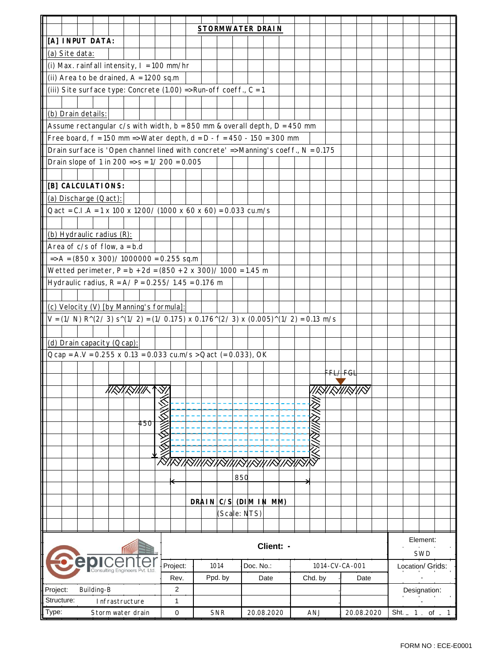|                                                                                                                                                                 |                              |  |                    |  |     |                |                 |      | <b>STORMWATER DRAIN</b>       |         |           |              |            |                |         |  |  |                     |  |                  |              |          |  |  |
|-----------------------------------------------------------------------------------------------------------------------------------------------------------------|------------------------------|--|--------------------|--|-----|----------------|-----------------|------|-------------------------------|---------|-----------|--------------|------------|----------------|---------|--|--|---------------------|--|------------------|--------------|----------|--|--|
| [A] INPUT DATA:                                                                                                                                                 |                              |  |                    |  |     |                |                 |      |                               |         |           |              |            |                |         |  |  |                     |  |                  |              |          |  |  |
| (a) Site data:                                                                                                                                                  |                              |  |                    |  |     |                |                 |      |                               |         |           |              |            |                |         |  |  |                     |  |                  |              |          |  |  |
| (i) Max. rainfall intensity, $I = 100$ mm/hr                                                                                                                    |                              |  |                    |  |     |                |                 |      |                               |         |           |              |            |                |         |  |  |                     |  |                  |              |          |  |  |
| (ii) Area to be drained, $A = 1200$ sq.m                                                                                                                        |                              |  |                    |  |     |                |                 |      |                               |         |           |              |            |                |         |  |  |                     |  |                  |              |          |  |  |
| (iii) Site surface type: Concrete (1.00) => Run-off coeff., $C = 1$                                                                                             |                              |  |                    |  |     |                |                 |      |                               |         |           |              |            |                |         |  |  |                     |  |                  |              |          |  |  |
|                                                                                                                                                                 |                              |  |                    |  |     |                |                 |      |                               |         |           |              |            |                |         |  |  |                     |  |                  |              |          |  |  |
| (b) Drain details:                                                                                                                                              |                              |  |                    |  |     |                |                 |      |                               |         |           |              |            |                |         |  |  |                     |  |                  |              |          |  |  |
| Assume rectangular $c/s$ with width, $b = 850$ mm & overall depth, $D = 450$ mm                                                                                 |                              |  |                    |  |     |                |                 |      |                               |         |           |              |            |                |         |  |  |                     |  |                  |              |          |  |  |
|                                                                                                                                                                 |                              |  |                    |  |     |                |                 |      |                               |         |           |              |            |                |         |  |  |                     |  |                  |              |          |  |  |
| Free board, $f = 150$ mm => Water depth, $d = D - f = 450 - 150 = 300$ mm<br>Drain surface is 'Open channel lined with concrete' => Manning's coeff., N = 0.175 |                              |  |                    |  |     |                |                 |      |                               |         |           |              |            |                |         |  |  |                     |  |                  |              |          |  |  |
| Drain slope of 1 in 200 => $s = 1/200 = 0.005$                                                                                                                  |                              |  |                    |  |     |                |                 |      |                               |         |           |              |            |                |         |  |  |                     |  |                  |              |          |  |  |
|                                                                                                                                                                 |                              |  |                    |  |     |                |                 |      |                               |         |           |              |            |                |         |  |  |                     |  |                  |              |          |  |  |
| [B] CALCULATIONS:                                                                                                                                               |                              |  |                    |  |     |                |                 |      |                               |         |           |              |            |                |         |  |  |                     |  |                  |              |          |  |  |
|                                                                                                                                                                 |                              |  |                    |  |     |                |                 |      |                               |         |           |              |            |                |         |  |  |                     |  |                  |              |          |  |  |
| (a) Discharge (Qact):                                                                                                                                           |                              |  |                    |  |     |                |                 |      |                               |         |           |              |            |                |         |  |  |                     |  |                  |              |          |  |  |
| $Qact = C.I.A = 1 x 100 x 1200 / (1000 x 60 x 60) = 0.033 cu.m/s$                                                                                               |                              |  |                    |  |     |                |                 |      |                               |         |           |              |            |                |         |  |  |                     |  |                  |              |          |  |  |
|                                                                                                                                                                 |                              |  |                    |  |     |                |                 |      |                               |         |           |              |            |                |         |  |  |                     |  |                  |              |          |  |  |
| (b) Hydraulic radius (R):                                                                                                                                       |                              |  |                    |  |     |                |                 |      |                               |         |           |              |            |                |         |  |  |                     |  |                  |              |          |  |  |
| Area of $c/s$ of flow, $a = b.d$                                                                                                                                |                              |  |                    |  |     |                |                 |      |                               |         |           |              |            |                |         |  |  |                     |  |                  |              |          |  |  |
| $\Rightarrow$ A = (850 x 300)/ 1000000 = 0.255 sq.m                                                                                                             |                              |  |                    |  |     |                |                 |      |                               |         |           |              |            |                |         |  |  |                     |  |                  |              |          |  |  |
| Wetted perimeter, $P = b + 2d = (850 + 2 \times 300) / 1000 = 1.45$ m                                                                                           |                              |  |                    |  |     |                |                 |      |                               |         |           |              |            |                |         |  |  |                     |  |                  |              |          |  |  |
| Hydraulic radius, $R = A/P = 0.255/1.45 = 0.176$ m                                                                                                              |                              |  |                    |  |     |                |                 |      |                               |         |           |              |            |                |         |  |  |                     |  |                  |              |          |  |  |
|                                                                                                                                                                 |                              |  |                    |  |     |                |                 |      |                               |         |           |              |            |                |         |  |  |                     |  |                  |              |          |  |  |
| (c) Velocity (V) [by Manning's formula]:                                                                                                                        |                              |  |                    |  |     |                |                 |      |                               |         |           |              |            |                |         |  |  |                     |  |                  |              |          |  |  |
| $V = (1/ N) R^{(2/3)}$ s <sup>2</sup> $(1/ 2) = (1/ 0.175)$ x 0.176 <sup>2</sup> $(2/ 3)$ x $(0.005)^{2}$ $(1/ 2) = 0.13$ m/s                                   |                              |  |                    |  |     |                |                 |      |                               |         |           |              |            |                |         |  |  |                     |  |                  |              |          |  |  |
|                                                                                                                                                                 |                              |  |                    |  |     |                |                 |      |                               |         |           |              |            |                |         |  |  |                     |  |                  |              |          |  |  |
| (d) Drain capacity (Qcap):                                                                                                                                      |                              |  |                    |  |     |                |                 |      |                               |         |           |              |            |                |         |  |  |                     |  |                  |              |          |  |  |
| $Qcap = A.V = 0.255 \times 0.13 = 0.033 \text{ cu.m/s} > Qact (= 0.033), OK$                                                                                    |                              |  |                    |  |     |                |                 |      |                               |         |           |              |            |                |         |  |  |                     |  |                  |              |          |  |  |
|                                                                                                                                                                 |                              |  |                    |  |     |                |                 |      |                               |         |           |              |            |                |         |  |  |                     |  |                  |              |          |  |  |
|                                                                                                                                                                 |                              |  |                    |  |     |                |                 |      |                               |         |           |              |            |                |         |  |  | <del>FFL4 FGL</del> |  |                  |              |          |  |  |
|                                                                                                                                                                 |                              |  | 11 <i>R</i> YRYNIK |  |     | $\forall$      |                 |      |                               |         |           |              |            |                |         |  |  | !!!X!XX!!!XXIIXX    |  |                  |              |          |  |  |
|                                                                                                                                                                 |                              |  |                    |  |     |                |                 |      |                               |         |           |              |            |                |         |  |  |                     |  |                  |              |          |  |  |
|                                                                                                                                                                 |                              |  |                    |  |     |                |                 |      |                               |         |           |              |            |                |         |  |  |                     |  |                  |              |          |  |  |
|                                                                                                                                                                 |                              |  |                    |  | 450 |                |                 |      |                               |         |           |              |            |                |         |  |  |                     |  |                  |              |          |  |  |
|                                                                                                                                                                 |                              |  |                    |  |     |                |                 |      |                               |         |           |              |            |                |         |  |  |                     |  |                  |              |          |  |  |
|                                                                                                                                                                 |                              |  |                    |  |     | <b>KANSANY</b> |                 |      |                               |         |           |              |            |                |         |  |  |                     |  |                  |              |          |  |  |
|                                                                                                                                                                 |                              |  |                    |  |     |                |                 |      |                               |         |           |              |            |                |         |  |  |                     |  |                  |              |          |  |  |
|                                                                                                                                                                 |                              |  |                    |  |     |                |                 |      | <u> Kusuksuksuksuksunsusu</u> |         |           |              |            |                |         |  |  |                     |  |                  |              |          |  |  |
|                                                                                                                                                                 |                              |  |                    |  |     |                |                 |      |                               |         | 850       |              |            |                |         |  |  |                     |  |                  |              |          |  |  |
|                                                                                                                                                                 |                              |  |                    |  |     |                |                 |      |                               |         |           |              |            |                |         |  |  |                     |  |                  |              |          |  |  |
|                                                                                                                                                                 |                              |  |                    |  |     |                |                 |      | DRAIN C/S (DIM IN MM)         |         |           |              |            |                |         |  |  |                     |  |                  |              |          |  |  |
|                                                                                                                                                                 |                              |  |                    |  |     |                |                 |      |                               |         |           | (Scale: NTS) |            |                |         |  |  |                     |  |                  |              |          |  |  |
|                                                                                                                                                                 |                              |  |                    |  |     |                |                 |      |                               |         |           |              |            |                |         |  |  |                     |  |                  |              |          |  |  |
|                                                                                                                                                                 |                              |  |                    |  |     |                |                 |      |                               |         |           |              |            |                |         |  |  |                     |  |                  |              |          |  |  |
|                                                                                                                                                                 |                              |  |                    |  |     |                |                 |      |                               |         |           |              | Client: -  |                |         |  |  |                     |  |                  |              | Element: |  |  |
| <b>Consulting Engineers</b>                                                                                                                                     |                              |  |                    |  |     |                |                 |      |                               |         |           |              |            |                |         |  |  |                     |  | SWD              |              |          |  |  |
|                                                                                                                                                                 |                              |  |                    |  |     | Project:       |                 | 1014 |                               |         | Doc. No.: |              |            | 1014-CV-CA-001 |         |  |  |                     |  | Location/ Grids: |              |          |  |  |
|                                                                                                                                                                 |                              |  |                    |  |     |                | Rev.            |      |                               | Ppd. by |           | Date         |            |                | Chd. by |  |  | Date                |  |                  |              |          |  |  |
| Project:<br>Building-B                                                                                                                                          |                              |  |                    |  |     |                | 2               |      |                               |         |           |              |            |                |         |  |  |                     |  |                  | Designation: |          |  |  |
|                                                                                                                                                                 | Structure:<br>Infrastructure |  |                    |  |     |                | 1               |      |                               |         |           |              |            |                |         |  |  |                     |  |                  |              |          |  |  |
| Type:                                                                                                                                                           | Storm water drain            |  |                    |  |     |                | 0<br><b>SNR</b> |      |                               |         |           |              | 20.08.2020 |                | ANJ     |  |  | 20.08.2020          |  |                  | Sht. 1 of 1  |          |  |  |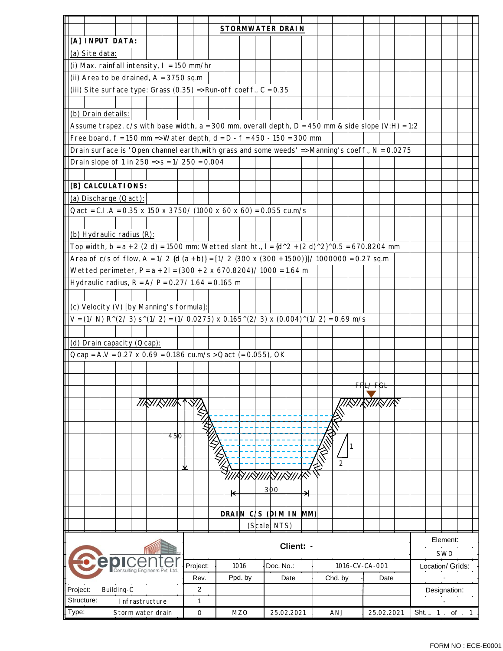|                                                                                                                                  |          | <b>STORMWATER DRAIN</b> |                            |                |            |                  |  |  |  |  |  |
|----------------------------------------------------------------------------------------------------------------------------------|----------|-------------------------|----------------------------|----------------|------------|------------------|--|--|--|--|--|
| [A] INPUT DATA:                                                                                                                  |          |                         |                            |                |            |                  |  |  |  |  |  |
| (a) Site data:                                                                                                                   |          |                         |                            |                |            |                  |  |  |  |  |  |
| (i) Max. rainfall intensity, $I = 150$ mm/hr                                                                                     |          |                         |                            |                |            |                  |  |  |  |  |  |
| (ii) Area to be drained, $A = 3750$ sq.m                                                                                         |          |                         |                            |                |            |                  |  |  |  |  |  |
| (iii) Site surface type: Grass (0.35) => Run-off coeff., $C = 0.35$                                                              |          |                         |                            |                |            |                  |  |  |  |  |  |
|                                                                                                                                  |          |                         |                            |                |            |                  |  |  |  |  |  |
| (b) Drain details:                                                                                                               |          |                         |                            |                |            |                  |  |  |  |  |  |
| Assume trapez. $c/s$ with base width, a = 300 mm, overall depth, D = 450 mm & side slope (V:H) = 1:2                             |          |                         |                            |                |            |                  |  |  |  |  |  |
| Free board, $f = 150$ mm => Water depth, $d = D - f = 450 - 150 = 300$ mm                                                        |          |                         |                            |                |            |                  |  |  |  |  |  |
| Drain surface is 'Open channel earth, with grass and some weeds' => Manning's coeff., N = 0.0275                                 |          |                         |                            |                |            |                  |  |  |  |  |  |
| Drain slope of 1 in $250 \Rightarrow s = 1/250 = 0.004$                                                                          |          |                         |                            |                |            |                  |  |  |  |  |  |
|                                                                                                                                  |          |                         |                            |                |            |                  |  |  |  |  |  |
| [B] CALCULATIONS:                                                                                                                |          |                         |                            |                |            |                  |  |  |  |  |  |
| (a) Discharge (Qact):                                                                                                            |          |                         |                            |                |            |                  |  |  |  |  |  |
| Qact = C.I.A = $0.35$ x 150 x 3750/ (1000 x 60 x 60) = 0.055 cu.m/s                                                              |          |                         |                            |                |            |                  |  |  |  |  |  |
|                                                                                                                                  |          |                         |                            |                |            |                  |  |  |  |  |  |
|                                                                                                                                  |          |                         |                            |                |            |                  |  |  |  |  |  |
| (b) Hydraulic radius (R):<br>Top width, b = $a + 2$ (2 d) = 1500 mm; Wetted slant ht., l = $\{d^2 + (2 d)^2\}$ 0.5 = 670.8204 mm |          |                         |                            |                |            |                  |  |  |  |  |  |
|                                                                                                                                  |          |                         |                            |                |            |                  |  |  |  |  |  |
| Area of c/s of flow, A = $1/2$ {d $(a + b)$ } = $[1/2$ {300 x (300 + 1500)}]/ 1000000 = 0.27 sq.m                                |          |                         |                            |                |            |                  |  |  |  |  |  |
| Wetted perimeter, $P = a + 2I = (300 + 2 \times 670.8204) / 1000 = 1.64 m$                                                       |          |                         |                            |                |            |                  |  |  |  |  |  |
| Hydraulic radius, $R = A/P = 0.27/1.64 = 0.165$ m                                                                                |          |                         |                            |                |            |                  |  |  |  |  |  |
|                                                                                                                                  |          |                         |                            |                |            |                  |  |  |  |  |  |
| (c) Velocity (V) [by Manning's formula]:                                                                                         |          |                         |                            |                |            |                  |  |  |  |  |  |
| $V = (1/ N) R^{(2/3)} s^{(1/2)} = (1/ 0.0275) x 0.165^{(2/3)} x (0.004)^{(1/2)} = 0.69 m/s$                                      |          |                         |                            |                |            |                  |  |  |  |  |  |
|                                                                                                                                  |          |                         |                            |                |            |                  |  |  |  |  |  |
| (d) Drain capacity (Qcap):                                                                                                       |          |                         |                            |                |            |                  |  |  |  |  |  |
| Ocap = A.V = 0.27 x 0.69 = 0.186 cu.m/s > Oact (= 0.055), OK                                                                     |          |                         |                            |                |            |                  |  |  |  |  |  |
|                                                                                                                                  |          |                         |                            |                |            |                  |  |  |  |  |  |
|                                                                                                                                  |          |                         |                            |                | FFL/FGL    |                  |  |  |  |  |  |
|                                                                                                                                  |          |                         |                            |                |            |                  |  |  |  |  |  |
| //RY/RY///K                                                                                                                      |          |                         |                            |                |            |                  |  |  |  |  |  |
|                                                                                                                                  |          |                         |                            |                |            |                  |  |  |  |  |  |
|                                                                                                                                  |          |                         |                            |                |            |                  |  |  |  |  |  |
| 450                                                                                                                              |          |                         |                            |                |            |                  |  |  |  |  |  |
|                                                                                                                                  |          |                         |                            |                |            |                  |  |  |  |  |  |
|                                                                                                                                  |          |                         |                            | 2              |            |                  |  |  |  |  |  |
|                                                                                                                                  |          |                         | <i>  IRYIRY  IRYIRY IK</i> |                |            |                  |  |  |  |  |  |
|                                                                                                                                  |          |                         | 300                        |                |            |                  |  |  |  |  |  |
|                                                                                                                                  |          | $\blackleftarrow$       |                            |                |            |                  |  |  |  |  |  |
|                                                                                                                                  |          |                         |                            |                |            |                  |  |  |  |  |  |
|                                                                                                                                  |          |                         | DRAIN C/S (DIM IN MM)      |                |            |                  |  |  |  |  |  |
|                                                                                                                                  |          |                         | (Scale: NTS)               |                |            |                  |  |  |  |  |  |
|                                                                                                                                  |          |                         | Client: -                  |                |            | Element:         |  |  |  |  |  |
|                                                                                                                                  |          |                         |                            |                |            | SWD              |  |  |  |  |  |
|                                                                                                                                  | Project: | 1016                    | Doc. No.:                  | 1016-CV-CA-001 |            | Location/ Grids: |  |  |  |  |  |
|                                                                                                                                  | Rev.     | Ppd. by                 | Date                       | Chd. by        | Date       |                  |  |  |  |  |  |
| Building-C<br>Project:                                                                                                           | 2        |                         |                            |                |            | Designation:     |  |  |  |  |  |
| Structure:<br>Infrastructure                                                                                                     | 1        |                         |                            |                |            |                  |  |  |  |  |  |
| Type:<br>Storm water drain                                                                                                       | 0        | <b>MZO</b>              | 25.02.2021                 | ANJ            | 25.02.2021 | Sht. 1 of 1      |  |  |  |  |  |